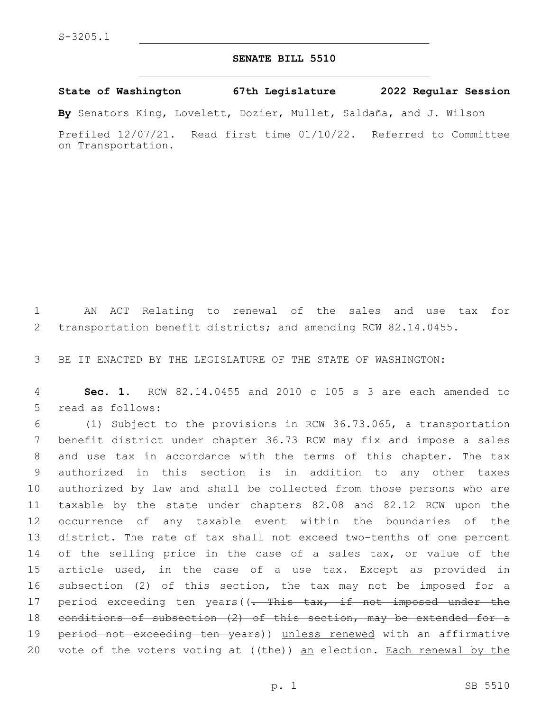## **SENATE BILL 5510**

**State of Washington 67th Legislature 2022 Regular Session**

**By** Senators King, Lovelett, Dozier, Mullet, Saldaña, and J. Wilson

Prefiled 12/07/21. Read first time 01/10/22. Referred to Committee on Transportation.

1 AN ACT Relating to renewal of the sales and use tax for 2 transportation benefit districts; and amending RCW 82.14.0455.

3 BE IT ENACTED BY THE LEGISLATURE OF THE STATE OF WASHINGTON:

4 **Sec. 1.** RCW 82.14.0455 and 2010 c 105 s 3 are each amended to 5 read as follows:

 (1) Subject to the provisions in RCW 36.73.065, a transportation benefit district under chapter 36.73 RCW may fix and impose a sales and use tax in accordance with the terms of this chapter. The tax authorized in this section is in addition to any other taxes authorized by law and shall be collected from those persons who are taxable by the state under chapters 82.08 and 82.12 RCW upon the occurrence of any taxable event within the boundaries of the district. The rate of tax shall not exceed two-tenths of one percent of the selling price in the case of a sales tax, or value of the article used, in the case of a use tax. Except as provided in subsection (2) of this section, the tax may not be imposed for a 17 period exceeding ten years((- This tax, if not imposed under the conditions of subsection (2) of this section, may be extended for a 19 period not exceeding ten years)) unless renewed with an affirmative 20 vote of the voters voting at  $((the)$  an election. Each renewal by the